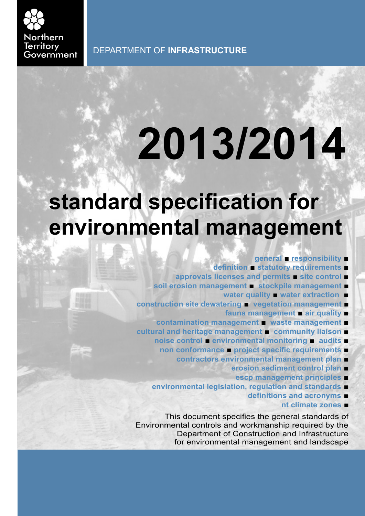

# **2013/2014**

# **standard specification for environmental management**

- **general responsibility** ■
- **definition statutory requirements** ■
- **approvals licenses and permits site control** ■
- **soil erosion management** ■ **stockpile management** 
	- **water quality water extraction** ■
- **construction site dewatering** ■ **vegetation management** 
	- **fauna management air quality** ■
- **contamination management** ■ **waste management** ■
- **cultural and heritage management** ■ **community liaison** 
	- **noise control environmental monitoring** ■ **audits** 
		- **non conformance project specific requirements** 
			- **contractors environmental management plan** 
				- **erosion sediment control plan** 
					- **escp management principles** ■
	- **environmental legislation, regulation and standards** 
		- **definitions and acronyms**
			- **nt climate zones** ■

This document specifies the general standards of Environmental controls and workmanship required by the Department of Construction and Infrastructure for environmental management and landscape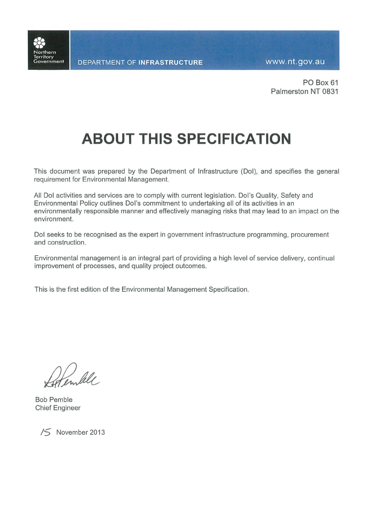

PO Box 61 Palmerston NT 0831

# **ABOUT THIS SPECIFICATION**

This document was prepared by the Department of Infrastructure (DoI), and specifies the general requirement for Environmental Management.

All Dol activities and services are to comply with current legislation. Dol's Quality, Safety and Environmental Policy outlines Dol's commitment to undertaking all of its activities in an environmentally responsible manner and effectively managing risks that may lead to an impact on the environment.

Dol seeks to be recognised as the expert in government infrastructure programming, procurement and construction.

Environmental management is an integral part of providing a high level of service delivery, continual improvement of processes, and quality project outcomes.

This is the first edition of the Environmental Management Specification.

**Bob Pemble Chief Engineer** 



/S November 2013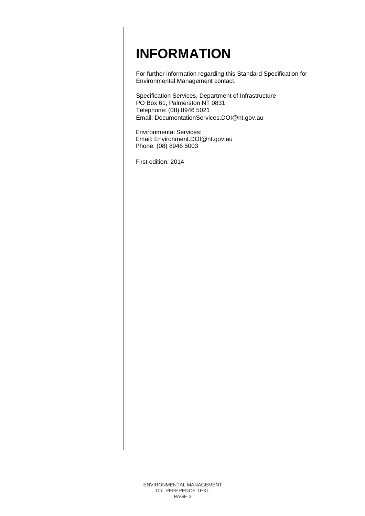# **INFORMATION**

For further information regarding this Standard Specification for Environmental Management contact:

Specification Services, Department of Infrastructure PO Box 61, Palmerston NT 0831 Telephone: (08) 8946 5021 [Email:](mailto:foscaro@nt.gov.au) DocumentationServices.DOI@nt.g[ov.](mailto:foscaro@nt.gov.au)au

Environmental Services: Email: Environment.DOI@nt.gov.au Phone: (08) 8946 5003

First edition: 2014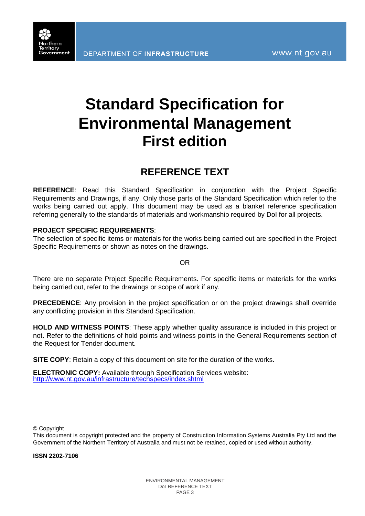

# **Standard Specification for Environmental Management First edition**

# **REFERENCE TEXT**

**REFERENCE**: Read this Standard Specification in conjunction with the Project Specific Requirements and Drawings, if any. Only those parts of the Standard Specification which refer to the works being carried out apply. This document may be used as a blanket reference specification referring generally to the standards of materials and workmanship required by DoI for all projects.

# **PROJECT SPECIFIC REQUIREMENTS**:

The selection of specific items or materials for the works being carried out are specified in the Project Specific Requirements or shown as notes on the drawings.

OR

There are no separate Project Specific Requirements. For specific items or materials for the works being carried out, refer to the drawings or scope of work if any.

**PRECEDENCE**: Any provision in the project specification or on the project drawings shall override any conflicting provision in this Standard Specification.

**HOLD AND WITNESS POINTS**: These apply whether quality assurance is included in this project or not. Refer to the definitions of hold points and witness points in the General Requirements section of the Request for Tender document.

**SITE COPY**: Retain a copy of this document on site for the duration of the works.

**ELECTRONIC COPY:** Available through Specification Services website: <http://www.nt.gov.au/infrastructure/techspecs/index.shtml>

© Copyright

This document is copyright protected and the property of Construction Information Systems Australia Pty Ltd and the Government of the Northern Territory of Australia and must not be retained, copied or used without authority.

**ISSN 2202-7106**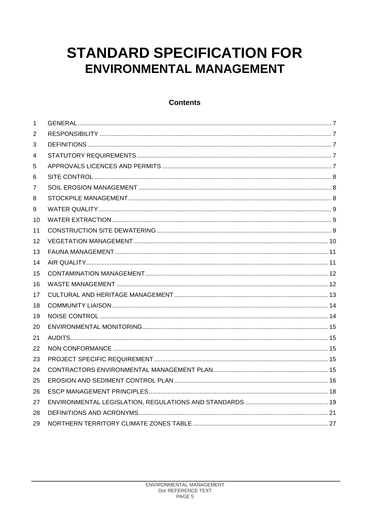# **STANDARD SPECIFICATION FOR ENVIRONMENTAL MANAGEMENT**

# **Contents**

| 1  |  |
|----|--|
| 2  |  |
| 3  |  |
| 4  |  |
| 5  |  |
| 6  |  |
| 7  |  |
| 8  |  |
| 9  |  |
| 10 |  |
| 11 |  |
| 12 |  |
| 13 |  |
| 14 |  |
| 15 |  |
| 16 |  |
| 17 |  |
| 18 |  |
| 19 |  |
| 20 |  |
| 21 |  |
| 22 |  |
| 23 |  |
| 24 |  |
| 25 |  |
| 26 |  |
| 27 |  |
| 28 |  |
| 29 |  |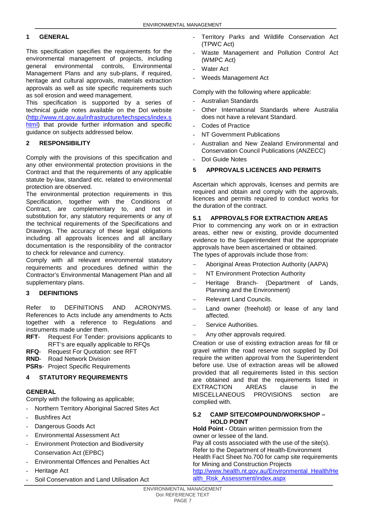# **1 GENERAL**

This specification specifies the requirements for the environmental management of projects, including<br>
deneral environmental controls. Environmental environmental controls, Environmental Management Plans and any sub-plans, if required, heritage and cultural approvals, materials extraction approvals as well as site specific requirements such as soil erosion and weed management.

This specification is supported by a series of technical guide notes available on the DoI website [\(http://www.nt.gov.au/infrastructure/techspecs/index.s](http://www.nt.gov.au/infrastructure/techspecs/index.shtml) [html\)](http://www.nt.gov.au/infrastructure/techspecs/index.shtml) that provide further information and specific guidance on subjects addressed below.

# <span id="page-8-0"></span>**2 RESPONSIBILITY**

Comply with the provisions of this specification and any other environmental protection provisions in the Contract and that the requirements of any applicable statute by-law, standard etc. related to environmental protection are observed.

The environmental protection requirements in this Specification, together with the Conditions of Contract, are complementary to, and not in substitution for, any statutory requirements or any of the technical requirements of the Specifications and Drawings. The accuracy of these legal obligations including all approvals licences and all ancillary documentation is the responsibility of the contractor to check for relevance and currency.

Comply with all relevant environmental statutory requirements and procedures defined within the Contractor's Environmental Management Plan and all supplementary plans.

# <span id="page-8-1"></span>**3 DEFINITIONS**

Refer to DEFINITIONS AND ACRONYMS. References to Acts include any amendments to Acts together with a reference to Regulations and instruments made under them.

- **RFT** Request For Tender: provisions applicants to RFT's are equally applicable to RFQs
- **RFQ** Request For Quotation: see RFT
- **RND** Road Network Division

**PSRs-** Project Specific Requirements

# <span id="page-8-2"></span>**4 STATUTORY REQUIREMENTS**

# **GENERAL**

Comply with the following as applicable;

- Northern Territory Aboriginal Sacred Sites Act
- Bushfires Act
- Dangerous Goods Act
- Environmental Assessment Act
- Environment Protection and Biodiversity Conservation Act (EPBC)
- Environmental Offences and Penalties Act
- Heritage Act
- Soil Conservation and Land Utilisation Act
- Territory Parks and Wildlife Conservation Act (TPWC Act)
- Waste Management and Pollution Control Act (WMPC Act)
- Water Act
- Weeds Management Act

Comply with the following where applicable:

- Australian Standards
- Other International Standards where Australia does not have a relevant Standard.
- Codes of Practice
- NT Government Publications
- Australian and New Zealand Environmental and Conservation Council Publications (ANZECC)
- DoI Guide Notes

# <span id="page-8-3"></span>**5 APPROVALS LICENCES AND PERMITS**

Ascertain which approvals, licenses and permits are required and obtain and comply with the approvals, licences and permits required to conduct works for the duration of the contract.

# **5.1 APPROVALS FOR EXTRACTION AREAS**

Prior to commencing any work on or in extraction areas, either new or existing, provide documented evidence to the Superintendent that the appropriate approvals have been ascertained or obtained. The types of approvals include those from:

- − Aboriginal Areas Protection Authority (AAPA)
- − NT Environment Protection Authority
- − Heritage Branch- (Department of Lands, Planning and the Environment)
- − Relevant Land Councils.
- Land owner (freehold) or lease of any land affected.
- − Service Authorities.
- Any other approvals required.

Creation or use of existing extraction areas for fill or gravel within the road reserve not supplied by DoI require the written approval from the Superintendent before use. Use of extraction areas will be allowed provided that all requirements listed in this section are obtained and that the requirements listed in EXTRACTION AREAS clause in the MISCELLANEOUS PROVISIONS section are complied with.

# **5.2 CAMP SITE/COMPOUND/WORKSHOP – HOLD POINT**

**Hold Point -** Obtain written permission from the owner or lessee of the land.

Pay all costs associated with the use of the site(s). Refer to the Department of Health-Environment Health Fact Sheet No.700 for camp site requirements for Mining and Construction Projects

[http://www.health.nt.gov.au/Environmental\\_Health/He](http://www.health.nt.gov.au/Environmental_Health/Health_Risk_Assessment/index.aspx) [alth\\_Risk\\_Assessment/index.aspx](http://www.health.nt.gov.au/Environmental_Health/Health_Risk_Assessment/index.aspx)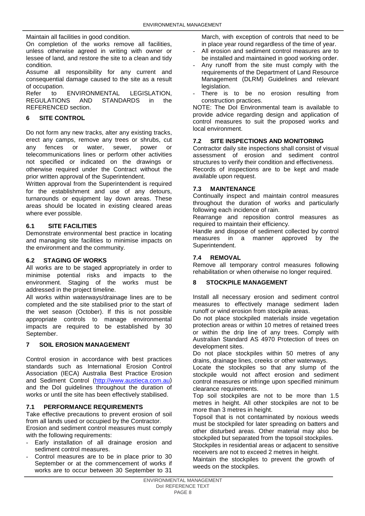Maintain all facilities in good condition.

On completion of the works remove all facilities, unless otherwise agreed in writing with owner or lessee of land, and restore the site to a clean and tidy condition.

Assume all responsibility for any current and consequential damage caused to the site as a result of occupation.

Refer to ENVIRONMENTAL LEGISLATION,<br>REGULATIONS AND STANDARDS in the STANDARDS in REFERENCED section.

# <span id="page-9-0"></span>**6 SITE CONTROL**

Do not form any new tracks, alter any existing tracks, erect any camps, remove any trees or shrubs, cut any fences or water, sewer, power or telecommunications lines or perform other activities not specified or indicated on the drawings or otherwise required under the Contract without the prior written approval of the Superintendent.

Written approval from the Superintendent is required for the establishment and use of any detours, turnarounds or equipment lay down areas. These areas should be located in existing cleared areas where ever possible.

# **6.1 SITE FACILITIES**

Demonstrate environmental best practice in locating and managing site facilities to minimise impacts on the environment and the community.

# **6.2 STAGING OF WORKS**

All works are to be staged appropriately in order to minimise potential risks and impacts to the environment. Staging of the works must be addressed in the project timeline.

All works within waterways/drainage lines are to be completed and the site stabilised prior to the start of the wet season (October). If this is not possible appropriate controls to manage environmental impacts are required to be established by 30 September.

# <span id="page-9-1"></span>**7 SOIL EROSION MANAGEMENT**

Control erosion in accordance with best practices standards such as International Erosion Control Association (IECA) Australia Best Practice Erosion and Sediment Control [\(http://www.austieca.com.au\)](http://www.austieca.com.au/) and the DoI guidelines throughout the duration of works or until the site has been effectively stabilised.

# **7.1 PERFORMANCE REQUIREMENTS**

Take effective precautions to prevent erosion of soil from all lands used or occupied by the Contractor.

Erosion and sediment control measures must comply with the following requirements:

- Early installation of all drainage erosion and sediment control measures.
- Control measures are to be in place prior to 30 September or at the commencement of works if works are to occur between 30 September to 31

March, with exception of controls that need to be in place year round regardless of the time of year.

- All erosion and sediment control measures are to be installed and maintained in good working order.
- Any runoff from the site must comply with the requirements of the Department of Land Resource Management (DLRM) Guidelines and relevant legislation.
- There is to be no erosion resulting from construction practices.

NOTE: The DoI Environmental team is available to provide advice regarding design and application of control measures to suit the proposed works and local environment.

# **7.2 SITE INSPECTIONS AND MONITORING**

Contractor daily site inspections shall consist of visual assessment of erosion and sediment control structures to verify their condition and effectiveness. Records of inspections are to be kept and made available upon request.

# **7.3 MAINTENANCE**

Continually inspect and maintain control measures throughout the duration of works and particularly following each incidence of rain.

Rearrange and reposition control measures as required to maintain their efficiency.

Handle and dispose of sediment collected by control measures in a manner approved by the Superintendent.

# **7.4 REMOVAL**

Remove all temporary control measures following rehabilitation or when otherwise no longer required.

# <span id="page-9-2"></span>**8 STOCKPILE MANAGEMENT**

Install all necessary erosion and sediment control measures to effectively manage sediment laden runoff or wind erosion from stockpile areas.

Do not place stockpiled materials inside vegetation protection areas or within 10 metres of retained trees or within the drip line of any trees. Comply with Australian Standard AS 4970 Protection of trees on development sites.

Do not place stockpiles within 50 metres of any drains, drainage lines, creeks or other waterways.

Locate the stockpiles so that any slump of the stockpile would not affect erosion and sediment control measures or infringe upon specified minimum clearance requirements.

Top soil stockpiles are not to be more than 1.5 metres in height. All other stockpiles are not to be more than 3 metres in height.

Topsoil that is not contaminated by noxious weeds must be stockpiled for later spreading on batters and other disturbed areas. Other material may also be stockpiled but separated from the topsoil stockpiles.

Stockpiles in residential areas or adjacent to sensitive receivers are not to exceed 2 metres in height.

Maintain the stockpiles to prevent the growth of weeds on the stockpiles.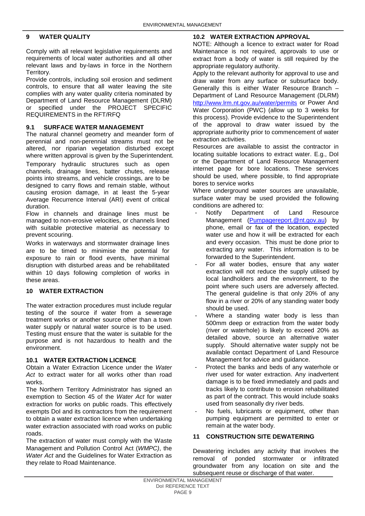# <span id="page-10-0"></span>**9 WATER QUALITY**

Comply with all relevant legislative requirements and requirements of local water authorities and all other relevant laws and by-laws in force in the Northern Territory.

Provide controls, including soil erosion and sediment controls, to ensure that all water leaving the site complies with any water quality criteria nominated by Department of Land Resource Management (DLRM) or specified under the PROJECT SPECIFIC REQUIREMENTS in the RFT/RFQ

# **9.1 SURFACE WATER MANAGEMENT**

The natural channel geometry and meander form of perennial and non-perennial streams must not be altered, nor riparian vegetation disturbed except where written approval is given by the Superintendent.

Temporary hydraulic structures such as open channels, drainage lines, batter chutes, release points into streams, and vehicle crossings, are to be designed to carry flows and remain stable, without causing erosion damage, in at least the 5-year Average Recurrence Interval (ARI) event of critical duration.

Flow in channels and drainage lines must be managed to non-erosive velocities, or channels lined with suitable protective material as necessary to prevent scouring.

Works in waterways and stormwater drainage lines are to be timed to minimise the potential for exposure to rain or flood events, have minimal disruption with disturbed areas and be rehabilitated within 10 days following completion of works in these areas.

# <span id="page-10-1"></span>**10 WATER EXTRACTION**

The water extraction procedures must include regular testing of the source if water from a sewerage treatment works or another source other than a town water supply or natural water source is to be used. Testing must ensure that the water is suitable for the purpose and is not hazardous to health and the environment.

# **10.1 WATER EXTRACTION LICENCE**

Obtain a Water Extraction Licence under the *Water Act* to extract water for all works other than road works.

The Northern Territory Administrator has signed an exemption to Section 45 of the *Water Act* for water extraction for works on public roads. This effectively exempts DoI and its contractors from the requirement to obtain a water extraction licence when undertaking water extraction associated with road works on public roads.

The extraction of water must comply with the Waste Management and Pollution Control Act (*WMPC)*, the *Water Act* and the Guidelines for Water Extraction as they relate to Road Maintenance.

# **10.2 WATER EXTRACTION APPROVAL**

NOTE: Although a licence to extract water for Road Maintenance is not required, approvals to use or extract from a body of water is still required by the appropriate regulatory authority.

Apply to the relevant authority for approval to use and draw water from any surface or subsurface body. Generally this is either Water Resource Branch – Department of Land Resource Management (DLRM) <http://www.lrm.nt.gov.au/water/permits> or Power And Water Corporation (PWC) (allow up to 3 weeks for this process). Provide evidence to the Superintendent of the approval to draw water issued by the appropriate authority prior to commencement of water extraction activities.

Resources are available to assist the contractor in locating suitable locations to extract water. E.g., DoI or the Department of Land Resource Management internet page for bore locations. These services should be used, where possible, to find appropriate bores to service works

Where underground water sources are unavailable, surface water may be used provided the following conditions are adhered to:

- Notify Department of Land Resource Management [\(Pumpagereport.@nt.gov.au\)](mailto:Pumpagereport.@nt.gov.au) by phone, email or fax of the location, expected water use and how it will be extracted for each and every occasion. This must be done prior to extracting any water. This information is to be forwarded to the Superintendent.
- For all water bodies, ensure that any water extraction will not reduce the supply utilised by local landholders and the environment, to the point where such users are adversely affected. The general guideline is that only 20% of any flow in a river or 20% of any standing water body should be used.
- Where a standing water body is less than 500mm deep or extraction from the water body (river or waterhole) is likely to exceed 20% as detailed above, source an alternative water supply. Should alternative water supply not be available contact Department of Land Resource Management for advice and guidance.
- Protect the banks and beds of any waterhole or river used for water extraction. Any inadvertent damage is to be fixed immediately and pads and tracks likely to contribute to erosion rehabilitated as part of the contract. This would include soaks used from seasonally dry river beds.
- No fuels, lubricants or equipment, other than pumping equipment are permitted to enter or remain at the water body.

# <span id="page-10-2"></span>**11 CONSTRUCTION SITE DEWATERING**

Dewatering includes any activity that involves the removal of ponded stormwater or infiltrated groundwater from any location on site and the subsequent reuse or discharge of that water.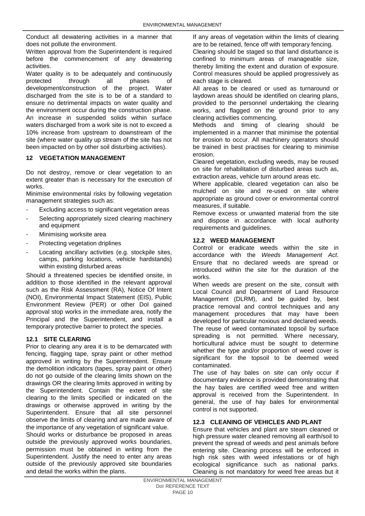Conduct all dewatering activities in a manner that does not pollute the environment.

Written approval from the Superintendent is required before the commencement of any dewatering activities.

Water quality is to be adequately and continuously protected through all phases of development/construction of the project. Water discharged from the site is to be of a standard to ensure no detrimental impacts on water quality and the environment occur during the construction phase. An increase in suspended solids within surface waters discharged from a work site is not to exceed a 10% increase from upstream to downstream of the site (where water quality up stream of the site has not been impacted on by other soil disturbing activities).

# <span id="page-11-0"></span>**12 VEGETATION MANAGEMENT**

Do not destroy, remove or clear vegetation to an extent greater than is necessary for the execution of works.

Minimise environmental risks by following vegetation management strategies such as:

- Excluding access to significant vegetation areas
- Selecting appropriately sized clearing machinery and equipment
- Minimising worksite area
- Protecting vegetation driplines
- Locating ancillary activities (e.g. stockpile sites, camps, parking locations, vehicle hardstands) within existing disturbed areas

Should a threatened species be identified onsite, in addition to those identified in the relevant approval such as the Risk Assessment (RA), Notice Of Intent (NOI), Environmental Impact Statement (EIS), Public Environment Review (PER) or other DoI gained approval stop works in the immediate area, notify the Principal and the Superintendent, and install a temporary protective barrier to protect the species.

# **12.1 SITE CLEARING**

Prior to clearing any area it is to be demarcated with fencing, flagging tape, spray paint or other method approved in writing by the Superintendent. Ensure the demolition indicators (tapes, spray paint or other) do not go outside of the clearing limits shown on the drawings OR the clearing limits approved in writing by the Superintendent. Contain the extent of site clearing to the limits specified or indicated on the drawings or otherwise approved in writing by the Superintendent. Ensure that all site personnel observe the limits of clearing and are made aware of the importance of any vegetation of significant value.

Should works or disturbance be proposed in areas outside the previously approved works boundaries, permission must be obtained in writing from the Superintendent. Justify the need to enter any areas outside of the previously approved site boundaries and detail the works within the plans.

If any areas of vegetation within the limits of clearing are to be retained, fence off with temporary fencing.

Clearing should be staged so that land disturbance is confined to minimum areas of manageable size, thereby limiting the extent and duration of exposure. Control measures should be applied progressively as each stage is cleared.

All areas to be cleared or used as turnaround or laydown areas should be identified on clearing plans, provided to the personnel undertaking the clearing works, and flagged on the ground prior to any clearing activities commencing.

Methods and timing of clearing should be implemented in a manner that minimise the potential for erosion to occur. All machinery operators should be trained in best practises for clearing to minimise erosion.

Cleared vegetation, excluding weeds, may be reused on site for rehabilitation of disturbed areas such as, extraction areas, vehicle turn around areas etc.

Where applicable, cleared vegetation can also be mulched on site and re-used on site where appropriate as ground cover or environmental control measures, if suitable.

Remove excess or unwanted material from the site and dispose in accordance with local authority requirements and guidelines.

# **12.2 WEED MANAGEMENT**

Control or eradicate weeds within the site in accordance with the *Weeds Management Act*. Ensure that no declared weeds are spread or introduced within the site for the duration of the works.

When weeds are present on the site, consult with Local Council and Department of Land Resource Management (DLRM), and be guided by, best practice removal and control techniques and any management procedures that may have been developed for particular noxious and declared weeds. The reuse of weed contaminated topsoil by surface spreading is not permitted. Where necessary, horticultural advice must be sought to determine whether the type and/or proportion of weed cover is significant for the topsoil to be deemed weed contaminated.

The use of hay bales on site can only occur if documentary evidence is provided demonstrating that the hay bales are certified weed free and written approval is received from the Superintendent. In general, the use of hay bales for environmental control is not supported.

# **12.3 CLEANING OF VEHICLES AND PLANT**

Ensure that vehicles and plant are steam cleaned or high pressure water cleaned removing all earth/soil to prevent the spread of weeds and pest animals before entering site. Cleaning process will be enforced in high risk sites with weed infestations or of high ecological significance such as national parks. Cleaning is not mandatory for weed free areas but it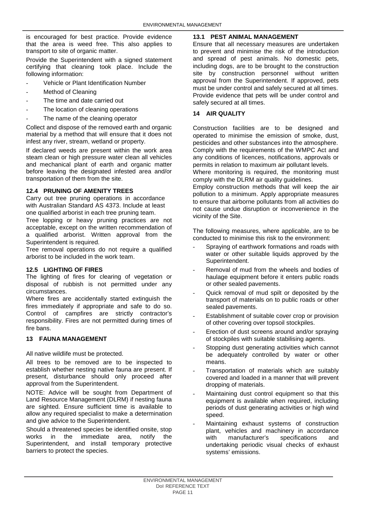is encouraged for best practice. Provide evidence that the area is weed free. This also applies to transport to site of organic matter.

Provide the Superintendent with a signed statement certifying that cleaning took place. Include the following information:

- Vehicle or Plant Identification Number
- Method of Cleaning
- The time and date carried out
- The location of cleaning operations
- The name of the cleaning operator

Collect and dispose of the removed earth and organic material by a method that will ensure that it does not infest any river, stream, wetland or property.

If declared weeds are present within the work area steam clean or high pressure water clean all vehicles and mechanical plant of earth and organic matter before leaving the designated infested area and/or transportation of them from the site.

# **12.4 PRUNING OF AMENITY TREES**

Carry out tree pruning operations in accordance with Australian Standard AS 4373. Include at least one qualified arborist in each tree pruning team. Tree lopping or heavy pruning practices are not acceptable, except on the written recommendation of a qualified arborist. Written approval from the Superintendent is required.

Tree removal operations do not require a qualified arborist to be included in the work team.

# **12.5 LIGHTING OF FIRES**

The lighting of fires for clearing of vegetation or disposal of rubbish is not permitted under any circumstances.

Where fires are accidentally started extinguish the fires immediately if appropriate and safe to do so. Control of campfires are strictly contractor's responsibility. Fires are not permitted during times of fire bans.

# <span id="page-12-0"></span>**13 FAUNA MANAGEMENT**

All native wildlife must be protected.

All trees to be removed are to be inspected to establish whether nesting native fauna are present. If present, disturbance should only proceed after approval from the Superintendent.

NOTE: Advice will be sought from Department of Land Resource Management (DLRM) if nesting fauna are sighted. Ensure sufficient time is available to allow any required specialist to make a determination and give advice to the Superintendent.

Should a threatened species be identified onsite, stop<br>works in the immediate area, notify the works in the immediate area, notify the Superintendent, and install temporary protective barriers to protect the species.

# **13.1 PEST ANIMAL MANAGEMENT**

Ensure that all necessary measures are undertaken to prevent and minimise the risk of the introduction and spread of pest animals. No domestic pets, including dogs, are to be brought to the construction site by construction personnel without written approval from the Superintendent. If approved, pets must be under control and safely secured at all times. Provide evidence that pets will be under control and safely secured at all times.

# <span id="page-12-1"></span>**14 AIR QUALITY**

Construction facilities are to be designed and operated to minimise the emission of smoke, dust, pesticides and other substances into the atmosphere. Comply with the requirements of the WMPC Act and any conditions of licences, notifications, approvals or permits in relation to maximum air pollutant levels.

Where monitoring is required, the monitoring must comply with the DLRM air quality guidelines.

Employ construction methods that will keep the air pollution to a minimum. Apply appropriate measures to ensure that airborne pollutants from all activities do not cause undue disruption or inconvenience in the vicinity of the Site.

The following measures, where applicable, are to be conducted to minimise this risk to the environment:

- Spraying of earthwork formations and roads with water or other suitable liquids approved by the Superintendent.
- Removal of mud from the wheels and bodies of haulage equipment before it enters public roads or other sealed pavements.
- Quick removal of mud spilt or deposited by the transport of materials on to public roads or other sealed pavements.
- Establishment of suitable cover crop or provision of other covering over topsoil stockpiles.
- Erection of dust screens around and/or spraying of stockpiles with suitable stabilising agents.
- Stopping dust generating activities which cannot be adequately controlled by water or other means.
- Transportation of materials which are suitably covered and loaded in a manner that will prevent dropping of materials.
- Maintaining dust control equipment so that this equipment is available when required, including periods of dust generating activities or high wind speed.
- Maintaining exhaust systems of construction plant, vehicles and machinery in accordance<br>with manufacturer's specifications and manufacturer's specifications and undertaking periodic visual checks of exhaust systems' emissions.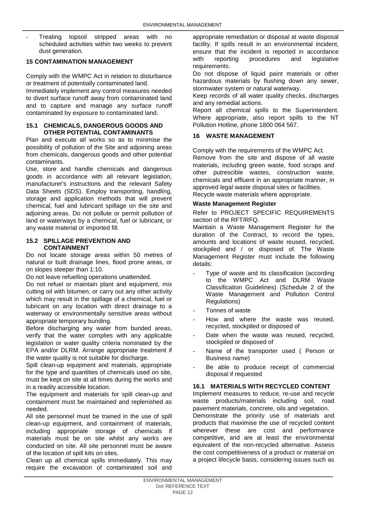Treating topsoil stripped areas with no scheduled activities within two weeks to prevent dust generation.

# <span id="page-13-0"></span>**15 CONTAMINATION MANAGEMENT**

Comply with the WMPC Act in relation to disturbance or treatment of potentially contaminated land. Immediately implement any control measures needed to divert surface runoff away from contaminated land and to capture and manage any surface runoff contaminated by exposure to contaminated land.

# **15.1 CHEMICALS, DANGEROUS GOODS AND OTHER POTENTIAL CONTAMINANTS**

Plan and execute all works so as to minimise the possibility of pollution of the Site and adjoining areas from chemicals, dangerous goods and other potential contaminants.

Use, store and handle chemicals and dangerous goods in accordance with all relevant legislation, manufacturer's instructions and the relevant Safety Data Sheets (SDS). Employ transporting, handling, storage and application methods that will prevent chemical, fuel and lubricant spillage on the site and adjoining areas. Do not pollute or permit pollution of land or waterways by a chemical, fuel or lubricant, or any waste material or imported fill.

# **15.2 SPILLAGE PREVENTION AND CONTAINMENT**

Do not locate storage areas within 50 metres of natural or built drainage lines, flood prone areas, or on slopes steeper than 1:10.

Do not leave refuelling operations unattended.

Do not refuel or maintain plant and equipment, mix cutting oil with bitumen, or carry out any other activity which may result in the spillage of a chemical, fuel or lubricant on any location with direct drainage to a waterway or environmentally sensitive areas without appropriate temporary bunding.

Before discharging any water from bunded areas, verify that the water complies with any applicable legislation or water quality criteria nominated by the EPA and/or DLRM. Arrange appropriate treatment if the water quality is not suitable for discharge.

Spill clean-up equipment and materials, appropriate for the type and quantities of chemicals used on site, must be kept on site at all times during the works and in a readily accessible location.

The equipment and materials for spill clean-up and containment must be maintained and replenished as needed.

All site personnel must be trained in the use of spill clean-up equipment, and containment of materials, including appropriate storage of chemicals if materials must be on site whilst any works are conducted on site. All site personnel must be aware of the location of spill kits on sites.

Clean up all chemical spills immediately. This may require the excavation of contaminated soil and appropriate remediation or disposal at waste disposal facility. If spills result in an environmental incident, ensure that the incident is reported in accordance with reporting procedures and legislative requirements.

Do not dispose of liquid paint materials or other hazardous materials by flushing down any sewer, stormwater system or natural waterway.

Keep records of all water quality checks, discharges and any remedial actions.

Report all chemical spills to the Superintendent. Where appropriate, also report spills to the NT Pollution Hotline, phone 1800 064 567.

# <span id="page-13-1"></span>**16 WASTE MANAGEMENT**

Comply with the requirements of the WMPC Act*.* Remove from the site and dispose of all waste materials, including green waste, food scraps and other putrescible wastes, construction waste, chemicals and effluent in an appropriate manner, in approved legal waste disposal sites or facilities. Recycle waste materials where appropriate.

# **Waste Management Register**

# Refer to PROJECT SPECIFIC REQUIREMENTS section of the RFT/RFQ.

Maintain a Waste Management Register for the duration of the Contract, to record the types, amounts and locations of waste reused, recycled, stockpiled and / or disposed of. The Waste Management Register must include the following details:

- Type of waste and its classification (according to the WMPC Act and DLRM Waste Classification Guidelines) (Schedule 2 of the Waste Management and Pollution Control Regulations)
- Tonnes of waste
- How and where the waste was reused. recycled, stockpiled or disposed of
- Date when the waste was reused, recycled, stockpiled or disposed of
- Name of the transporter used ( Person or Business name)
- Be able to produce receipt of commercial disposal if requested

# **16.1 MATERIALS WITH RECYCLED CONTENT**

Implement measures to reduce, re-use and recycle waste products/materials including soil. road pavement materials, concrete, oils and vegetation. Demonstrate the priority use of materials and products that maximise the use of recycled content wherever these are cost and performance competitive, and are at least the environmental equivalent of the non-recycled alternative. Assess the cost competitiveness of a product or material on a project lifecycle basis, considering issues such as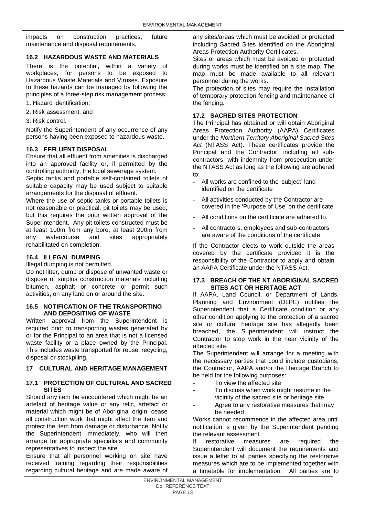impacts on construction practices, future maintenance and disposal requirements.

# **16.2 HAZARDOUS WASTE AND MATERIALS**

There is the potential, within a variety of workplaces, for persons to be exposed to Hazardous Waste Materials and Viruses. Exposure to these hazards can be managed by following the principles of a three-step risk management process:

1. Hazard identification;

- 2. Risk assessment, and
- 3. Risk control.

Notify the Superintendent of any occurrence of any persons having been exposed to hazardous waste.

# **16.3 EFFLUENT DISPOSAL**

Ensure that all effluent from amenities is discharged into an approved facility or, if permitted by the controlling authority, the local sewerage system.

Septic tanks and portable self-contained toilets of suitable capacity may be used subject to suitable arrangements for the disposal of effluent.

Where the use of septic tanks or portable toilets is not reasonable or practical, pit toilets may be used, but this requires the prior written approval of the Superintendent. Any pit toilets constructed must be at least 100m from any bore, at least 200m from any watercourse and sites appropriately rehabilitated on completion.

# **16.4 ILLEGAL DUMPING**

# Illegal dumping is not permitted.

Do not litter, dump or dispose of unwanted waste or dispose of surplus construction materials including bitumen, asphalt or concrete or permit such activities, on any land on or around the site.

## **16.5 NOTIFICATION OF THE TRANSPORTING AND DEPOSITING OF WASTE**

Written approval from the Superintendent is required prior to transporting wastes generated by or for the Principal to an area that is not a licensed waste facility or a place owned by the Principal. This includes waste transported for reuse, recycling, disposal or stockpiling.

# <span id="page-14-0"></span>**17 CULTURAL AND HERITAGE MANAGEMENT**

# **17.1 PROTECTION OF CULTURAL AND SACRED SITES**

Should any item be encountered which might be an artefact of heritage value or any relic, artefact or material which might be of Aboriginal origin, cease all construction work that might affect the item and protect the item from damage or disturbance. Notify the Superintendent immediately, who will then arrange for appropriate specialists and community representatives to inspect the site.

Ensure that all personnel working on site have received training regarding their responsibilities regarding cultural heritage and are made aware of any sites/areas which must be avoided or protected including Sacred Sites identified on the Aboriginal Areas Protection Authority Certificates.

Sites or areas which must be avoided or protected during works must be identified on a site map. The map must be made available to all relevant personnel during the works.

The protection of sites may require the installation of temporary protection fencing and maintenance of the fencing.

# **17.2 SACRED SITES PROTECTION**

The Principal has obtained or will obtain Aboriginal Areas Protection Authority (AAPA) Certificates under the *Northern Territory Aboriginal Sacred Sites Act* (NTASS Act). These certificates provide the Principal and the Contractor, including all subcontractors, with indemnity from prosecution under the NTASS Act as long as the following are adhered to:

- All works are confined to the 'subject' land identified on the certificate
- All activities conducted by the Contractor are covered in the 'Purpose of Use' on the certificate
- All conditions on the certificate are adhered to.
- All contractors, employees and sub-contractors are aware of the conditions of the certificate.

If the Contractor elects to work outside the areas covered by the certificate provided it is the responsibility of the Contractor to apply and obtain an AAPA Certificate under the NTASS Act.

# **17.3 BREACH OF THE NT ABORIGINAL SACRED SITES ACT OR HERITAGE ACT**

If AAPA, Land Council, or Department of Lands, Planning and Environment (DLPE) notifies the Superintendent that a Certificate condition or any other condition applying to the protection of a sacred site or cultural heritage site has allegedly been breached, the Superintendent will instruct the Contractor to stop work in the near vicinity of the affected site.

The Superintendent will arrange for a meeting with the necessary parties that could include custodians, the Contractor, AAPA and/or the Heritage Branch to be held for the following purposes:

- To view the affected site
- To discuss when work might resume in the vicinity of the sacred site or heritage site
- Agree to any restorative measures that may be needed

Works cannot recommence in the affected area until notification is given by the Superintendent pending the relevant assessment.

If restorative measures are required the Superintendent will document the requirements and issue a letter to all parties specifying the restorative measures which are to be implemented together with a timetable for implementation. All parties are to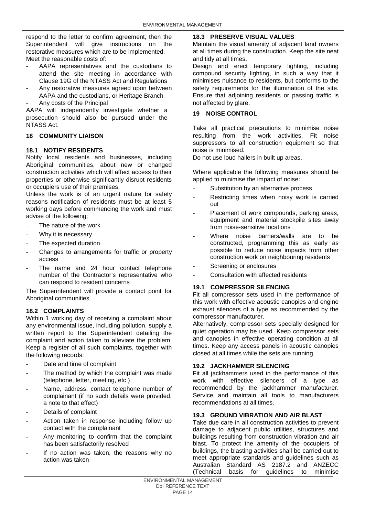respond to the letter to confirm agreement, then the Superintendent will give instructions on the restorative measures which are to be implemented. Meet the reasonable costs of:

- AAPA representatives and the custodians to attend the site meeting in accordance with Clause 19G of the NTASS Act and Regulations
- Any restorative measures agreed upon between AAPA and the custodians, or Heritage Branch
- Any costs of the Principal

AAPA will independently investigate whether a prosecution should also be pursued under the NTASS Act.

# <span id="page-15-0"></span>**18 COMMUNITY LIAISON**

# **18.1 NOTIFY RESIDENTS**

Notify local residents and businesses, including Aboriginal communities, about new or changed construction activities which will affect access to their properties or otherwise significantly disrupt residents or occupiers use of their premises.

Unless the work is of an urgent nature for safety reasons notification of residents must be at least 5 working days before commencing the work and must advise of the following;

- The nature of the work
- Why it is necessary
- The expected duration
- Changes to arrangements for traffic or property access
- The name and 24 hour contact telephone number of the Contractor's representative who can respond to resident concerns

The Superintendent will provide a contact point for Aboriginal communities.

# **18.2 COMPLAINTS**

Within 1 working day of receiving a complaint about any environmental issue, including pollution, supply a written report to the Superintendent detailing the complaint and action taken to alleviate the problem. Keep a register of all such complaints, together with the following records:

- Date and time of complaint
- The method by which the complaint was made (telephone, letter, meeting, etc.)
- Name, address, contact telephone number of complainant (if no such details were provided, a note to that effect)
- Details of complaint
- Action taken in response including follow up contact with the complainant
- Any monitoring to confirm that the complaint has been satisfactorily resolved
- If no action was taken, the reasons why no action was taken

# **18.3 PRESERVE VISUAL VALUES**

Maintain the visual amenity of adjacent land owners at all times during the construction. Keep the site neat and tidy at all times.

Design and erect temporary lighting, including compound security lighting, in such a way that it minimises nuisance to residents, but conforms to the safety requirements for the illumination of the site. Ensure that adjoining residents or passing traffic is not affected by glare.

# <span id="page-15-1"></span>**19 NOISE CONTROL**

Take all practical precautions to minimise noise resulting from the work activities. Fit noise suppressors to all construction equipment so that noise is minimised.

Do not use loud hailers in built up areas.

Where applicable the following measures should be applied to minimise the impact of noise:

- Substitution by an alternative process
- Restricting times when noisy work is carried out
- Placement of work compounds, parking areas, equipment and material stockpile sites away from noise-sensitive locations
- Where noise barriers/walls are to be constructed, programming this as early as possible to reduce noise impacts from other construction work on neighbouring residents
- Screening or enclosures
- Consultation with affected residents

# **19.1 COMPRESSOR SILENCING**

Fit all compressor sets used in the performance of this work with effective acoustic canopies and engine exhaust silencers of a type as recommended by the compressor manufacturer.

Alternatively, compressor sets specially designed for quiet operation may be used. Keep compressor sets and canopies in effective operating condition at all times. Keep any access panels in acoustic canopies closed at all times while the sets are running.

# **19.2 JACKHAMMER SILENCING**

Fit all jackhammers used in the performance of this work with effective silencers of a type as recommended by the jackhammer manufacturer. Service and maintain all tools to manufacturers recommendations at all times.

# **19.3 GROUND VIBRATION AND AIR BLAST**

Take due care in all construction activities to prevent damage to adjacent public utilities, structures and buildings resulting from construction vibration and air blast. To protect the amenity of the occupiers of buildings, the blasting activities shall be carried out to meet appropriate standards and guidelines such as Australian Standard AS 2187.2 and ANZECC for guidelines to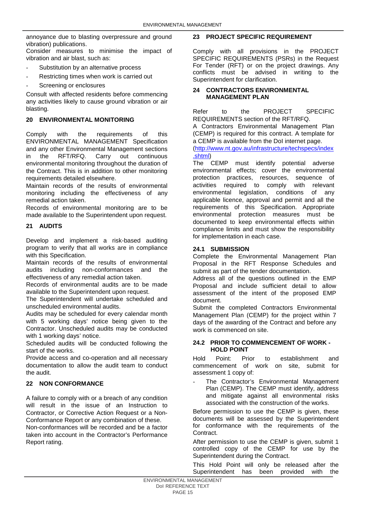annoyance due to blasting overpressure and ground vibration) publications.

Consider measures to minimise the impact of vibration and air blast, such as:

- Substitution by an alternative process
- Restricting times when work is carried out
- Screening or enclosures

Consult with affected residents before commencing any activities likely to cause ground vibration or air blasting.

# <span id="page-16-0"></span>**20 ENVIRONMENTAL MONITORING**

Comply with the requirements of this ENVIRONMENTAL MANAGEMENT Specification and any other Environmental Management sections in the RFT/RFQ. Carry out continuous environmental monitoring throughout the duration of the Contract. This is in addition to other monitoring requirements detailed elsewhere.

Maintain records of the results of environmental monitoring including the effectiveness of any remedial action taken.

Records of environmental monitoring are to be made available to the Superintendent upon request.

# <span id="page-16-1"></span>**21 AUDITS**

Develop and implement a risk-based auditing program to verify that all works are in compliance with this Specification.

Maintain records of the results of environmental audits including non-conformances and the effectiveness of any remedial action taken.

Records of environmental audits are to be made available to the Superintendent upon request.

The Superintendent will undertake scheduled and unscheduled environmental audits.

Audits may be scheduled for every calendar month with 5 working days' notice being given to the Contractor. Unscheduled audits may be conducted with 1 working days' notice.

Scheduled audits will be conducted following the start of the works.

Provide access and co-operation and all necessary documentation to allow the audit team to conduct the audit.

# <span id="page-16-2"></span>**22 NON CONFORMANCE**

A failure to comply with or a breach of any condition will result in the issue of an Instruction to Contractor, or Corrective Action Request or a Non-Conformance Report or any combination of these.

Non-conformances will be recorded and be a factor taken into account in the Contractor's Performance Report rating.

# <span id="page-16-3"></span>**23 PROJECT SPECIFIC REQUIREMENT**

Comply with all provisions in the PROJECT SPECIFIC REQUIREMENTS (PSRs) in the Request For Tender (RFT) or on the project drawings. Any conflicts must be advised in writing to the Superintendent for clarification.

# <span id="page-16-4"></span>**24 CONTRACTORS ENVIRONMENTAL MANAGEMENT PLAN**

Refer to the PROJECT SPECIFIC REQUIREMENTS section of the RFT/RFQ.

A Contractors Environmental Management Plan (CEMP) is required for this contract. A template for a CEMP is available from the DoI internet page.

[\(http://www.nt.gov.au/infrastructure/techspecs/index](http://www.nt.gov.au/infrastructure/techspecs/index.shtml) [.shtml\)](http://www.nt.gov.au/infrastructure/techspecs/index.shtml)

The CEMP must identify potential adverse environmental effects; cover the environmental protection practices, resources, sequence of activities required to comply with relevant environmental legislation, conditions of any applicable licence, approval and permit and all the requirements of this Specification. Appropriate environmental protection measures must be documented to keep environmental effects within compliance limits and must show the responsibility for implementation in each case.

# **24.1 SUBMISSION**

Complete the Environmental Management Plan Proposal in the RFT Response Schedules and submit as part of the tender documentation.

Address all of the questions outlined in the EMP Proposal and include sufficient detail to allow assessment of the intent of the proposed EMP document.

Submit the completed Contractors Environmental Management Plan (CEMP) for the project within 7 days of the awarding of the Contract and before any work is commenced on site.

# **24.2 PRIOR TO COMMENCEMENT OF WORK - HOLD POINT**

Hold Point: Prior to establishment and commencement of work on site, submit for assessment 1 copy of:

The Contractor's Environmental Management Plan (CEMP). The CEMP must identify, address and mitigate against all environmental risks associated with the construction of the works.

Before permission to use the CEMP is given, these documents will be assessed by the Superintendent for conformance with the requirements of the Contract.

After permission to use the CEMP is given, submit 1 controlled copy of the CEMP for use by the Superintendent during the Contract.

This Hold Point will only be released after the<br>Superintendent has been provided with the Superintendent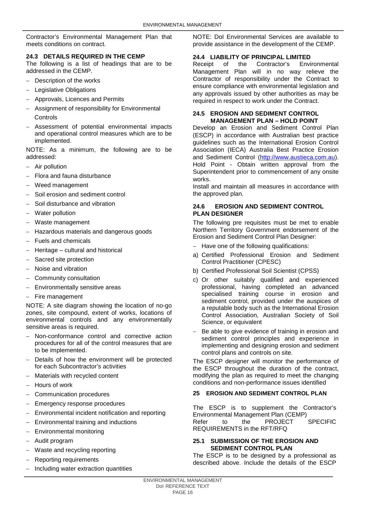Contractor's Environmental Management Plan that meets conditions on contract.

# **24.3 DETAILS REQUIRED IN THE CEMP**

The following is a list of headings that are to be addressed in the CEMP.

- Description of the works
- − Legislative Obligations
- − Approvals, Licences and Permits
- Assignment of responsibility for Environmental **Controls**
- − Assessment of potential environmental impacts and operational control measures which are to be implemented.

NOTE: As a minimum, the following are to be addressed:

- − Air pollution
- − Flora and fauna disturbance
- Weed management
- Soil erosion and sediment control
- − Soil disturbance and vibration
- Water pollution
- − Waste management
- − Hazardous materials and dangerous goods
- Fuels and chemicals
- − Heritage cultural and historical
- Sacred site protection
- − Noise and vibration
- − Community consultation
- Environmentally sensitive areas
- − Fire management

NOTE: A site diagram showing the location of no-go zones, site compound, extent of works, locations of environmental controls and any environmentally sensitive areas is required.

- − Non-conformance control and corrective action procedures for all of the control measures that are to be implemented.
- Details of how the environment will be protected for each Subcontractor's activities
- − Materials with recycled content
- − Hours of work
- − Communication procedures
- Emergency response procedures
- − Environmental incident notification and reporting
- − Environmental training and inductions
- Environmental monitoring
- − Audit program
- − Waste and recycling reporting
- Reporting requirements
- − Including water extraction quantities

NOTE: DoI Environmental Services are available to provide assistance in the development of the CEMP.

# **24.4 LIABILITY OF PRINCIPAL LIMITED**

Environmental Management Plan will in no way relieve the Contractor of responsibility under the Contract to ensure compliance with environmental legislation and any approvals issued by other authorities as may be required in respect to work under the Contract.

# **24.5 EROSION AND SEDIMENT CONTROL MANAGEMENT PLAN – HOLD POINT**

Develop an Erosion and Sediment Control Plan (ESCP) in accordance with Australian best practice guidelines such as the International Erosion Control Association (IECA) Australia Best Practice Erosion and Sediment Control [\(http://www.austieca.com.au\)](http://www.austieca.com.au/). Hold Point - Obtain written approval from the Superintendent prior to commencement of any onsite works.

Install and maintain all measures in accordance with the approved plan.

# **24.6 EROSION AND SEDIMENT CONTROL PLAN DESIGNER**

The following pre requisites must be met to enable Northern Territory Government endorsement of the Erosion and Sediment Control Plan Designer:

- Have one of the following qualifications:
- a) Certified Professional Erosion and Sediment Control Practitioner (CPESC)
- b) Certified Professional Soil Scientist (CPSS)
- c) Or other suitably qualified and experienced professional, having completed an advanced specialised training course in erosion and sediment control, provided under the auspices of a reputable body such as the International Erosion Control Association, Australian Society of Soil Science, or equivalent
- − Be able to give evidence of training in erosion and sediment control principles and experience in implementing and designing erosion and sediment control plans and controls on site.

The ESCP designer will monitor the performance of the ESCP throughout the duration of the contract, modifying the plan as required to meet the changing conditions and non-performance issues identified

# <span id="page-17-0"></span>**25 EROSION AND SEDIMENT CONTROL PLAN**

The ESCP is to supplement the Contractor's Environmental Management Plan (CEMP)<br>Refer to the PROJECT SPECIFIC Refer to the PROJECT REQUIREMENTS in the RFT/RFQ

# **25.1 SUBMISSION OF THE EROSION AND SEDIMENT CONTROL PLAN**

The ESCP is to be designed by a professional as described above. Include the details of the ESCP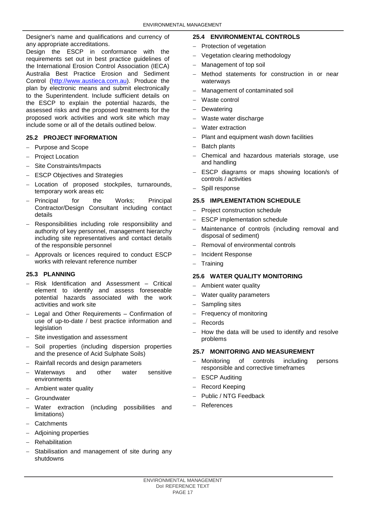Designer's name and qualifications and currency of any appropriate accreditations.

Design the ESCP in conformance with the requirements set out in best practice guidelines of the International Erosion Control Association (IECA) Australia Best Practice Erosion and Sediment Control [\(http://www.austieca.com.au\)](http://www.austieca.com.au/). Produce the plan by electronic means and submit electronically to the Superintendent. Include sufficient details on the ESCP to explain the potential hazards, the assessed risks and the proposed treatments for the proposed work activities and work site which may include some or all of the details outlined below.

# **25.2 PROJECT INFORMATION**

- − Purpose and Scope
- − Project Location
- − Site Constraints/Impacts
- − ESCP Objectives and Strategies
- Location of proposed stockpiles, turnarounds. temporary work areas etc
- − Principal for the Works; Principal Contractor/Design Consultant including contact details
- − Responsibilities including role responsibility and authority of key personnel, management hierarchy including site representatives and contact details of the responsible personnel
- − Approvals or licences required to conduct ESCP works with relevant reference number

# **25.3 PLANNING**

- − Risk Identification and Assessment Critical element to identify and assess foreseeable potential hazards associated with the work activities and work site
- − Legal and Other Requirements Confirmation of use of up-to-date / best practice information and legislation
- Site investigation and assessment
- Soil properties (including dispersion properties and the presence of Acid Sulphate Soils)
- − Rainfall records and design parameters
- Waterways and other water sensitive environments
- − Ambient water quality
- − Groundwater
- Water extraction (including possibilities and limitations)
- − Catchments
- − Adjoining properties
- − Rehabilitation
- Stabilisation and management of site during any shutdowns

# **25.4 ENVIRONMENTAL CONTROLS**

- − Protection of vegetation
- − Vegetation clearing methodology
- − Management of top soil
- Method statements for construction in or near waterways
- − Management of contaminated soil
- − Waste control
- Dewatering
- Waste water discharge
- Water extraction
- Plant and equipment wash down facilities
- Batch plants
- − Chemical and hazardous materials storage, use and handling
- ESCP diagrams or maps showing location/s of controls / activities
- − Spill response

# **25.5 IMPLEMENTATION SCHEDULE**

- Project construction schedule
- ESCP implementation schedule
- Maintenance of controls (including removal and disposal of sediment)
- − Removal of environmental controls
- − Incident Response
- **Training**

# **25.6 WATER QUALITY MONITORING**

- − Ambient water quality
- Water quality parameters
- Sampling sites
- Frequency of monitoring
- − Records
- − How the data will be used to identify and resolve problems

# **25.7 MONITORING AND MEASUREMENT**

- − Monitoring of controls including persons responsible and corrective timeframes
- ESCP Auditing
- − Record Keeping
- − Public / NTG Feedback
- − References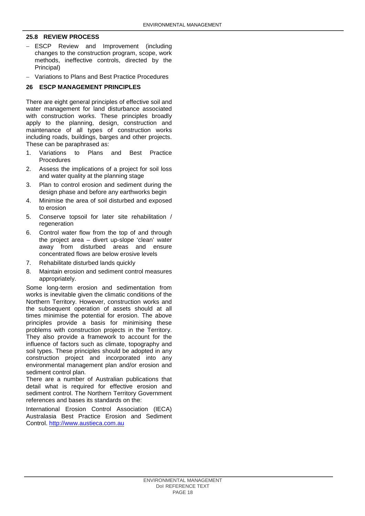# **25.8 REVIEW PROCESS**

- − ESCP Review and Improvement (including changes to the construction program, scope, work methods, ineffective controls, directed by the Principal)
- − Variations to Plans and Best Practice Procedures

# <span id="page-19-0"></span>**26 ESCP MANAGEMENT PRINCIPLES**

There are eight general principles of effective soil and water management for land disturbance associated with construction works. These principles broadly apply to the planning, design, construction and maintenance of all types of construction works including roads, buildings, barges and other projects. These can be paraphrased as:

- 1. Variations to Plans and Best Practice **Procedures**
- 2. Assess the implications of a project for soil loss and water quality at the planning stage
- 3. Plan to control erosion and sediment during the design phase and before any earthworks begin
- 4. Minimise the area of soil disturbed and exposed to erosion
- 5. Conserve topsoil for later site rehabilitation / regeneration
- 6. Control water flow from the top of and through the project area – divert up-slope 'clean' water away from disturbed areas and ensure concentrated flows are below erosive levels
- 7. Rehabilitate disturbed lands quickly
- 8. Maintain erosion and sediment control measures appropriately.

Some long-term erosion and sedimentation from works is inevitable given the climatic conditions of the Northern Territory. However, construction works and the subsequent operation of assets should at all times minimise the potential for erosion. The above principles provide a basis for minimising these problems with construction projects in the Territory. They also provide a framework to account for the influence of factors such as climate, topography and soil types. These principles should be adopted in any construction project and incorporated into any environmental management plan and/or erosion and sediment control plan.

There are a number of Australian publications that detail what is required for effective erosion and sediment control. The Northern Territory Government references and bases its standards on the:

International Erosion Control Association (IECA) Australasia Best Practice Erosion and Sediment Control. [http://www.austieca.com.au](http://www.austieca.com.au/)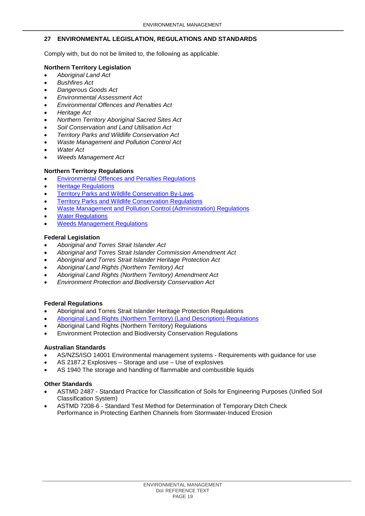# <span id="page-20-0"></span>**27 ENVIRONMENTAL LEGISLATION, REGULATIONS AND STANDARDS**

Comply with, but do not be limited to, the following as applicable.

# **Northern Territory Legislation**

- *[Aboriginal Land Act](http://www.austlii.edu.au/au/legis/nt/consol_act/ala126)*
- *Bushfires Act*
- *Dangerous Goods Act*
- *Environmental Assessment Act*
- *Environmental Offences and Penalties Act*
- *Heritage Act*
- *Northern Territory Aboriginal Sacred Sites Act*
- *Soil Conservation and Land Utilisation Act*
- *Territory Parks and Wildlife Conservation Act*
- *Waste Management and Pollution Control Act*
- *Water Act*
- *Weeds Management Act*
- **Northern Territory Regulations**
- [Environmental Offences and Penalties Regulations](http://www.austlii.edu.au/au/legis/nt/consol_reg/eoapr452)
- **[Heritage Regulations](http://www.austlii.edu.au/au/legis/nt/consol_reg/hcr338)**
- **[Territory Parks and Wildlife Conservation By-Laws](http://www.austlii.edu.au/au/legis/nt/consol_reg/tpawcb506)**
- [Territory Parks and Wildlife Conservation Regulations](http://www.austlii.edu.au/au/legis/nt/consol_reg/tpawcr560)
- [Waste Management and Pollution Control \(Administration\) Regulations](http://www.austlii.edu.au/au/legis/nt/consol_reg/wmapcr659)
- **[Water Regulations](http://www.austlii.edu.au/au/legis/nt/consol_reg/wr192)**
- [Weeds Management Regulations](http://www.austlii.edu.au/au/legis/nt/consol_reg/wmr264)

# **Federal Legislation**

- *Aboriginal and Torres Strait Islander Act*
- *Aboriginal and Torres Strait Islander Commission Amendment Act*
- *Aboriginal and Torres Strait Islander Heritage Protection Act*
- *Aboriginal Land Rights (Northern Territory) Act*
- *Aboriginal Land Rights (Northern Territory) Amendment Act*
- *Environment Protection and Biodiversity Conservation Act*

# **Federal Regulations**

- Aboriginal and Torres Strait Islander Heritage Protection Regulations
- [Aboriginal Land Rights \(Northern Territory\) \(Land Description\) Regulations](http://www.austlii.edu.au/au/legis/cth/consol_reg/alrtdr701)
- Aboriginal Land Rights (Northern Territory) Regulations
- Environment Protection and Biodiversity Conservation Regulations

# **Australian Standards**

- AS/NZS/ISO 14001 Environmental management systems Requirements with guidance for use
- AS 2187.2 Explosives Storage and use Use of explosives
- AS 1940 The storage and handling of flammable and combustible liquids

# **Other Standards**

- ASTMD 2487 Standard Practice for Classification of Soils for Engineering Purposes (Unified Soil Classification System)
- ASTMD 7208-6 Standard Test Method for Determination of Temporary Ditch Check Performance in Protecting Earthen Channels from Stormwater-Induced Erosion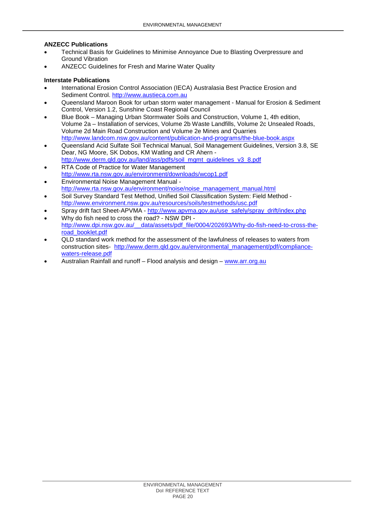# **ANZECC Publications**

- Technical Basis for Guidelines to Minimise Annoyance Due to Blasting Overpressure and Ground Vibration
- ANZECC Guidelines for Fresh and Marine Water Quality

# **Interstate Publications**

- International Erosion Control Association (IECA) Australasia Best Practice Erosion and Sediment Control. [http://www.austieca.com.au](http://www.austieca.com.au/)
- Queensland Maroon Book for urban storm water management Manual for Erosion & Sediment Control, Version 1.2, Sunshine Coast Regional Council
- Blue Book Managing Urban Stormwater Soils and Construction, Volume 1, 4th edition, Volume 2a – Installation of services, Volume 2b Waste Landfills, Volume 2c Unsealed Roads, Volume 2d Main Road Construction and Volume 2e Mines and Quarries <http://www.landcom.nsw.gov.au/content/publication-and-programs/the-blue-book.aspx>
- Queensland Acid Sulfate Soil Technical Manual, Soil Management Guidelines, Version 3.8, SE Dear, NG Moore, SK Dobos, KM Watling and CR Ahern [http://www.derm.qld.gov.au/land/ass/pdfs/soil\\_mgmt\\_guidelines\\_v3\\_8.pdf](http://www.derm.qld.gov.au/land/ass/pdfs/soil_mgmt_guidelines_v3_8.pdf)
- RTA Code of Practice for Water Management <http://www.rta.nsw.gov.au/environment/downloads/wcop1.pdf>
- Environmental Noise Management Manual [http://www.rta.nsw.gov.au/environment/noise/noise\\_management\\_manual.html](http://www.rta.nsw.gov.au/environment/noise/noise_management_manual.html)
- Soil Survey Standard Test Method, Unified Soil Classification System: Field Method <http://www.environment.nsw.gov.au/resources/soils/testmethods/usc.pdf>
- Spray drift fact Sheet-APVMA [http://www.apvma.gov.au/use\\_safely/spray\\_drift/index.php](http://www.apvma.gov.au/use_safely/spray_drift/index.php)
- Why do fish need to cross the road? NSW DPI [http://www.dpi.nsw.gov.au/\\_\\_data/assets/pdf\\_file/0004/202693/Why-do-fish-need-to-cross-the](http://www.dpi.nsw.gov.au/__data/assets/pdf_file/0004/202693/Why-do-fish-need-to-cross-the-road_booklet.pdf)[road\\_booklet.pdf](http://www.dpi.nsw.gov.au/__data/assets/pdf_file/0004/202693/Why-do-fish-need-to-cross-the-road_booklet.pdf)
- QLD standard work method for the assessment of the lawfulness of releases to waters from construction sites- http://www.derm.gld.gov.au/environmental\_management/pdf/compliance[waters-release.pdf](http://www.derm.qld.gov.au/environmental_management/pdf/compliance-waters-release.pdf)
- Australian Rainfall and runoff Flood analysis and design [www.arr.org.au](http://www.arr.org.au/)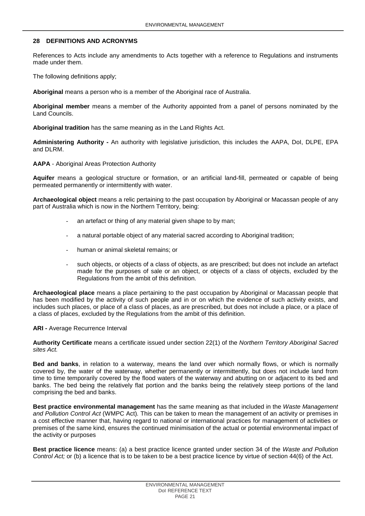# <span id="page-22-0"></span>**28 DEFINITIONS AND ACRONYMS**

References to Acts include any amendments to Acts together with a reference to Regulations and instruments made under them.

The following definitions apply;

**Aboriginal** means a person who is a member of the Aboriginal race of Australia.

**Aboriginal member** means a member of the Authority appointed from a panel of persons nominated by the Land Councils.

**Aboriginal tradition** has the same meaning as in the Land Rights Act.

**Administering Authority -** An authority with legislative jurisdiction, this includes the AAPA, DoI, DLPE, EPA and DLRM.

**AAPA** - Aboriginal Areas Protection Authority

**Aquifer** means a geological structure or formation, or an artificial land-fill, permeated or capable of being permeated permanently or intermittently with water.

**Archaeological object** means a relic pertaining to the past occupation by Aboriginal or Macassan people of any part of Australia which is now in the Northern Territory, being:

- an artefact or thing of any material given shape to by man;
- a natural portable object of any material sacred according to Aboriginal tradition;
- human or animal skeletal remains; or
- such objects, or objects of a class of objects, as are prescribed; but does not include an artefact made for the purposes of sale or an object, or objects of a class of objects, excluded by the Regulations from the ambit of this definition.

**Archaeological place** means a place pertaining to the past occupation by Aboriginal or Macassan people that has been modified by the activity of such people and in or on which the evidence of such activity exists, and includes such places, or place of a class of places, as are prescribed, but does not include a place, or a place of a class of places, excluded by the Regulations from the ambit of this definition.

#### **ARI -** Average Recurrence Interval

**Authority Certificate** means a certificate issued under section 22(1) of the *Northern Territory Aboriginal Sacred sites Act.*

**Bed and banks**, in relation to a waterway, means the land over which normally flows, or which is normally covered by, the water of the waterway, whether permanently or intermittently, but does not include land from time to time temporarily covered by the flood waters of the waterway and abutting on or adjacent to its bed and banks. The bed being the relatively flat portion and the banks being the relatively steep portions of the land comprising the bed and banks.

**Best practice environmental management** has the same meaning as that included in the *Waste Management and Pollution Control Act* (WMPC Act)*.* This can be taken to mean the management of an activity or premises in a cost effective manner that, having regard to national or international practices for management of activities or premises of the same kind, ensures the continued minimisation of the actual or potential environmental impact of the activity or purposes

**Best practice licence** means: (a) a best practice licence granted under section 34 of the *Waste and Pollution Control Act;* or (b) a licence that is to be taken to be a best practice licence by virtue of section 44(6) of the Act.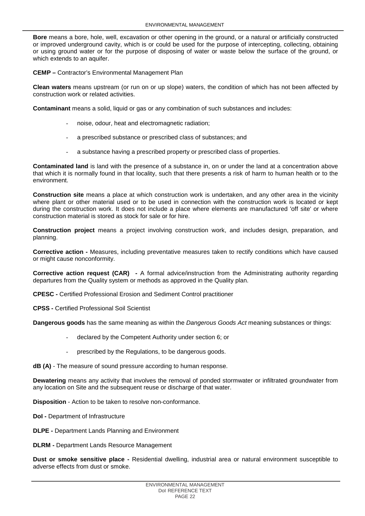**Bore** means a bore, hole, well, excavation or other opening in the ground, or a natural or artificially constructed or improved underground cavity, which is or could be used for the purpose of intercepting, collecting, obtaining or using ground water or for the purpose of disposing of water or waste below the surface of the ground, or which extends to an aquifer.

**CEMP –** Contractor's Environmental Management Plan

**Clean waters** means upstream (or run on or up slope) waters, the condition of which has not been affected by construction work or related activities.

**Contaminant** means a solid, liquid or gas or any combination of such substances and includes:

- noise, odour, heat and electromagnetic radiation;
- a prescribed substance or prescribed class of substances; and
- a substance having a prescribed property or prescribed class of properties.

**Contaminated land** is land with the presence of a substance in, on or under the land at a concentration above that which it is normally found in that locality, such that there presents a risk of harm to human health or to the environment.

**Construction site** means a place at which construction work is undertaken, and any other area in the vicinity where plant or other material used or to be used in connection with the construction work is located or kept during the construction work. It does not include a place where elements are manufactured 'off site' or where construction material is stored as stock for sale or for hire.

**Construction project** means a project involving construction work, and includes design, preparation, and planning.

**Corrective action -** Measures, including preventative measures taken to rectify conditions which have caused or might cause nonconformity.

**Corrective action request (CAR) -** A formal advice/instruction from the Administrating authority regarding departures from the Quality system or methods as approved in the Quality plan.

**CPESC -** Certified Professional Erosion and Sediment Control practitioner

**CPSS -** Certified Professional Soil Scientist

**Dangerous goods** has the same meaning as within the *Dangerous Goods Act* meaning substances or things:

- declared by the Competent Authority under section 6; or
- prescribed by the Regulations, to be dangerous goods.

**dB (A)** - The measure of sound pressure according to human response.

**Dewatering** means any activity that involves the removal of ponded stormwater or infiltrated groundwater from any location on Site and the subsequent reuse or discharge of that water.

**Disposition** - Action to be taken to resolve non-conformance.

**DoI -** Department of Infrastructure

**DLPE -** Department Lands Planning and Environment

**DLRM -** Department Lands Resource Management

**Dust or smoke sensitive place -** Residential dwelling, industrial area or natural environment susceptible to adverse effects from dust or smoke.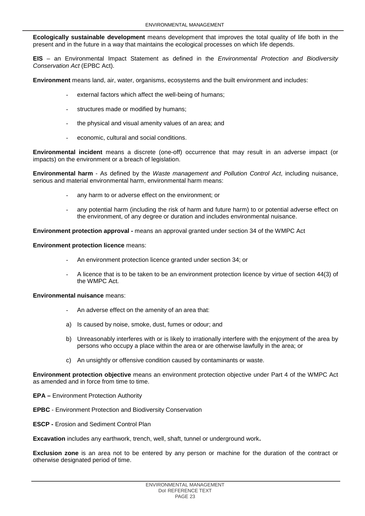**Ecologically sustainable development** means development that improves the total quality of life both in the present and in the future in a way that maintains the ecological processes on which life depends.

**EIS** – an Environmental Impact Statement as defined in the *Environmental Protection and Biodiversity Conservation Act* (EPBC Act).

**Environment** means land, air, water, organisms, ecosystems and the built environment and includes:

- external factors which affect the well-being of humans;
- structures made or modified by humans;
- the physical and visual amenity values of an area; and
- economic, cultural and social conditions.

**Environmental incident** means a discrete (one-off) occurrence that may result in an adverse impact (or impacts) on the environment or a breach of legislation.

**Environmental harm** - As defined by the *Waste management and Pollution Control Act*, including nuisance, serious and material environmental harm, environmental harm means:

- any harm to or adverse effect on the environment; or
- any potential harm (including the risk of harm and future harm) to or potential adverse effect on the environment, of any degree or duration and includes environmental nuisance.

**Environment protection approval -** means an approval granted under section 34 of the WMPC Act

**Environment protection licence** means:

- An environment protection licence granted under section 34; or
- A licence that is to be taken to be an environment protection licence by virtue of section 44(3) of the WMPC Act.

#### **Environmental nuisance** means:

- An adverse effect on the amenity of an area that:
- a) Is caused by noise, smoke, dust, fumes or odour; and
- b) Unreasonably interferes with or is likely to irrationally interfere with the enjoyment of the area by persons who occupy a place within the area or are otherwise lawfully in the area; or
- c) An unsightly or offensive condition caused by contaminants or waste.

**Environment protection objective** means an environment protection objective under Part 4 of the WMPC Act as amended and in force from time to time.

- **EPA –** Environment Protection Authority
- **EPBC** Environment Protection and Biodiversity Conservation
- **ESCP -** Erosion and Sediment Control Plan

**Excavation** includes any earthwork, trench, well, shaft, tunnel or underground work**.**

**Exclusion zone** is an area not to be entered by any person or machine for the duration of the contract or otherwise designated period of time.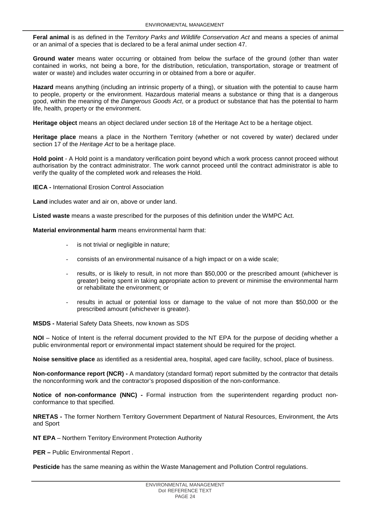**Feral animal** is as defined in the *Territory Parks and Wildlife Conservation Act* and means a species of animal or an animal of a species that is declared to be a feral animal under section 47.

**Ground water** means water occurring or obtained from below the surface of the ground (other than water contained in works, not being a bore, for the distribution, reticulation, transportation, storage or treatment of water or waste) and includes water occurring in or obtained from a bore or aquifer.

**Hazard** means anything (including an intrinsic property of a thing), or situation with the potential to cause harm to people, property or the environment. Hazardous material means a substance or thing that is a dangerous good, within the meaning of the *Dangerous Goods Act*, or a product or substance that has the potential to harm life, health, property or the environment.

**Heritage object** means an object declared under section 18 of the Heritage Act to be a heritage object.

**Heritage place** means a place in the Northern Territory (whether or not covered by water) declared under section 17 of the *Heritage Act* to be a heritage place.

**Hold point** - A Hold point is a mandatory verification point beyond which a work process cannot proceed without authorisation by the contract administrator. The work cannot proceed until the contract administrator is able to verify the quality of the completed work and releases the Hold.

**IECA -** International Erosion Control Association

**Land** includes water and air on, above or under land.

**Listed waste** means a waste prescribed for the purposes of this definition under the WMPC Act.

**Material environmental harm** means environmental harm that:

- is not trivial or negligible in nature;
- consists of an environmental nuisance of a high impact or on a wide scale;
- results, or is likely to result, in not more than \$50,000 or the prescribed amount (whichever is greater) being spent in taking appropriate action to prevent or minimise the environmental harm or rehabilitate the environment; or
- results in actual or potential loss or damage to the value of not more than \$50,000 or the prescribed amount (whichever is greater).

**MSDS -** Material Safety Data Sheets, now known as SDS

**NOI** – Notice of Intent is the referral document provided to the NT EPA for the purpose of deciding whether a public environmental report or environmental impact statement should be required for the project.

**Noise sensitive place** as identified as a residential area, hospital, aged care facility, school, place of business.

**Non-conformance report (NCR) -** A mandatory (standard format) report submitted by the contractor that details the nonconforming work and the contractor's proposed disposition of the non-conformance.

**Notice of non-conformance (NNC) -** Formal instruction from the superintendent regarding product nonconformance to that specified.

**NRETAS -** The former Northern Territory Government Department of Natural Resources, Environment, the Arts and Sport

**NT EPA** – Northern Territory Environment Protection Authority

**PER –** Public Environmental Report .

**Pesticide** has the same meaning as within the Waste Management and Pollution Control regulations.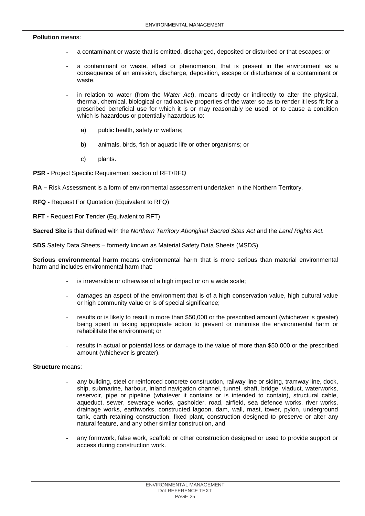## **Pollution** means:

- a contaminant or waste that is emitted, discharged, deposited or disturbed or that escapes; or
- a contaminant or waste, effect or phenomenon, that is present in the environment as a consequence of an emission, discharge, deposition, escape or disturbance of a contaminant or waste.
- in relation to water (from the *Water Act*), means directly or indirectly to alter the physical, thermal, chemical, biological or radioactive properties of the water so as to render it less fit for a prescribed beneficial use for which it is or may reasonably be used, or to cause a condition which is hazardous or potentially hazardous to:
	- a) public health, safety or welfare;
	- b) animals, birds, fish or aquatic life or other organisms; or
	- c) plants.
- **PSR -** Project Specific Requirement section of RFT/RFQ

**RA –** Risk Assessment is a form of environmental assessment undertaken in the Northern Territory.

- **RFQ -** Request For Quotation (Equivalent to RFQ)
- **RFT -** Request For Tender (Equivalent to RFT)

**Sacred Site** is that defined with the *Northern Territory Aboriginal Sacred Sites Act* and the *Land Rights Act.*

**SDS** Safety Data Sheets – formerly known as Material Safety Data Sheets (MSDS)

**Serious environmental harm** means environmental harm that is more serious than material environmental harm and includes environmental harm that:

- is irreversible or otherwise of a high impact or on a wide scale;
- damages an aspect of the environment that is of a high conservation value, high cultural value or high community value or is of special significance;
- results or is likely to result in more than \$50,000 or the prescribed amount (whichever is greater) being spent in taking appropriate action to prevent or minimise the environmental harm or rehabilitate the environment; or
- results in actual or potential loss or damage to the value of more than \$50,000 or the prescribed amount (whichever is greater).

## **Structure** means:

- any building, steel or reinforced concrete construction, railway line or siding, tramway line, dock, ship, submarine, harbour, inland navigation channel, tunnel, shaft, bridge, viaduct, waterworks, reservoir, pipe or pipeline (whatever it contains or is intended to contain), structural cable, aqueduct, sewer, sewerage works, gasholder, road, airfield, sea defence works, river works, drainage works, earthworks, constructed lagoon, dam, wall, mast, tower, pylon, underground tank, earth retaining construction, fixed plant, construction designed to preserve or alter any natural feature, and any other similar construction, and
- any formwork, false work, scaffold or other construction designed or used to provide support or access during construction work.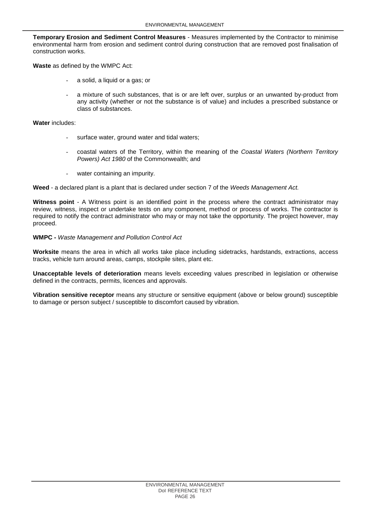**Temporary Erosion and Sediment Control Measures** - Measures implemented by the Contractor to minimise environmental harm from erosion and sediment control during construction that are removed post finalisation of construction works.

**Waste** as defined by the WMPC Act:

- a solid, a liquid or a gas; or
- a mixture of such substances, that is or are left over, surplus or an unwanted by-product from any activity (whether or not the substance is of value) and includes a prescribed substance or class of substances.

## **Water** includes:

- surface water, ground water and tidal waters;
- coastal waters of the Territory, within the meaning of the *Coastal Waters (Northern Territory Powers) Act 1980* of the Commonwealth; and
- water containing an impurity.

**Weed** - a declared plant is a plant that is declared under section 7 of the *Weeds Management Act.*

**Witness point** - A Witness point is an identified point in the process where the contract administrator may review, witness, inspect or undertake tests on any component, method or process of works. The contractor is required to notify the contract administrator who may or may not take the opportunity. The project however, may proceed.

# **WMPC -** *Waste Management and Pollution Control Act*

**Worksite** means the area in which all works take place including sidetracks, hardstands, extractions, access tracks, vehicle turn around areas, camps, stockpile sites, plant etc.

**Unacceptable levels of deterioration** means levels exceeding values prescribed in legislation or otherwise defined in the contracts, permits, licences and approvals.

**Vibration sensitive receptor** means any structure or sensitive equipment (above or below ground) susceptible to damage or person subject / susceptible to discomfort caused by vibration.